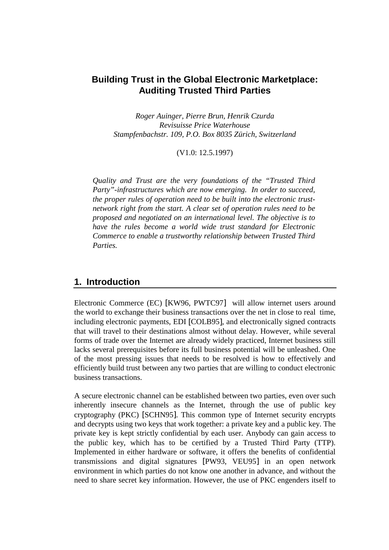# **Building Trust in the Global Electronic Marketplace: Auditing Trusted Third Parties**

*Roger Auinger, Pierre Brun, Henrik Czurda Revisuisse Price Waterhouse Stampfenbachstr. 109, P.O. Box 8035 Zürich, Switzerland* 

(V1.0: 12.5.1997)

*Quality and Trust are the very foundations of the "Trusted Third Party"-infrastructures which are now emerging. In order to succeed, the proper rules of operation need to be built into the electronic trustnetwork right from the start. A clear set of operation rules need to be proposed and negotiated on an international level. The objective is to have the rules become a world wide trust standard for Electronic Commerce to enable a trustworthy relationship between Trusted Third Parties.* 

# **1. Introduction**

Electronic Commerce (EC) [KW96, PWTC97] will allow internet users around the world to exchange their business transactions over the net in close to real time, including electronic payments, EDI [COLB95], and electronically signed contracts that will travel to their destinations almost without delay. However, while several forms of trade over the Internet are already widely practiced, Internet business still lacks several prerequisites before its full business potential will be unleashed. One of the most pressing issues that needs to be resolved is how to effectively and efficiently build trust between any two parties that are willing to conduct electronic business transactions.

A secure electronic channel can be established between two parties, even over such inherently insecure channels as the Internet, through the use of public key cryptography (PKC) [SCHN95]. This common type of Internet security encrypts and decrypts using two keys that work together: a private key and a public key. The private key is kept strictly confidential by each user. Anybody can gain access to the public key, which has to be certified by a Trusted Third Party (TTP). Implemented in either hardware or software, it offers the benefits of confidential transmissions and digital signatures [PW93, VEU95] in an open network environment in which parties do not know one another in advance, and without the need to share secret key information. However, the use of PKC engenders itself to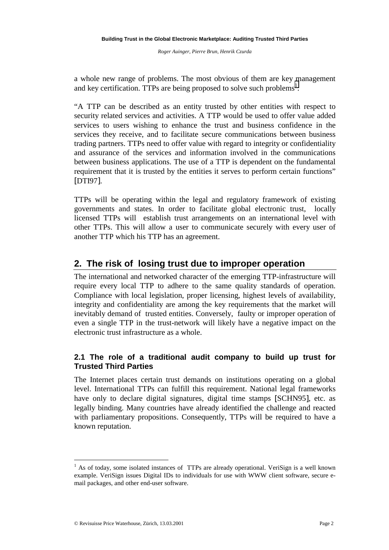a whole new range of problems. The most obvious of them are key management and key certification. TTPs are being proposed to solve such problems<sup>1</sup>.

"A TTP can be described as an entity trusted by other entities with respect to security related services and activities. A TTP would be used to offer value added services to users wishing to enhance the trust and business confidence in the services they receive, and to facilitate secure communications between business trading partners. TTPs need to offer value with regard to integrity or confidentiality and assurance of the services and information involved in the communications between business applications. The use of a TTP is dependent on the fundamental requirement that it is trusted by the entities it serves to perform certain functions" [DTI97].

TTPs will be operating within the legal and regulatory framework of existing governments and states. In order to facilitate global electronic trust, locally licensed TTPs will establish trust arrangements on an international level with other TTPs. This will allow a user to communicate securely with every user of another TTP which his TTP has an agreement.

# **2. The risk of losing trust due to improper operation**

The international and networked character of the emerging TTP-infrastructure will require every local TTP to adhere to the same quality standards of operation. Compliance with local legislation, proper licensing, highest levels of availability, integrity and confidentiality are among the key requirements that the market will inevitably demand of trusted entities. Conversely, faulty or improper operation of even a single TTP in the trust-network will likely have a negative impact on the electronic trust infrastructure as a whole.

# **2.1 The role of a traditional audit company to build up trust for Trusted Third Parties**

The Internet places certain trust demands on institutions operating on a global level. International TTPs can fulfill this requirement. National legal frameworks have only to declare digital signatures, digital time stamps [SCHN95], etc. as legally binding. Many countries have already identified the challenge and reacted with parliamentary propositions. Consequently, TTPs will be required to have a known reputation.

 $\overline{a}$ 

 $<sup>1</sup>$  As of today, some isolated instances of TTPs are already operational. VeriSign is a well known</sup> example. VeriSign issues Digital IDs to individuals for use with WWW client software, secure email packages, and other end-user software.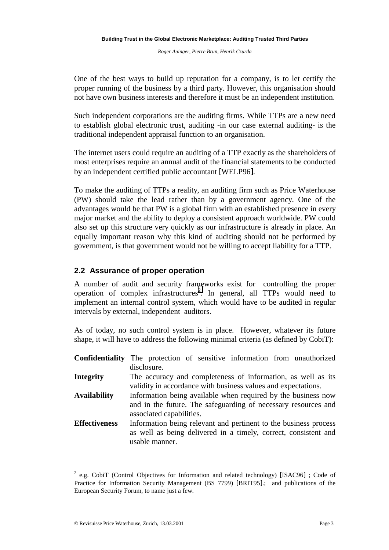One of the best ways to build up reputation for a company, is to let certify the proper running of the business by a third party. However, this organisation should not have own business interests and therefore it must be an independent institution.

Such independent corporations are the auditing firms. While TTPs are a new need to establish global electronic trust, auditing -in our case external auditing- is the traditional independent appraisal function to an organisation.

The internet users could require an auditing of a TTP exactly as the shareholders of most enterprises require an annual audit of the financial statements to be conducted by an independent certified public accountant [WELP96].

To make the auditing of TTPs a reality, an auditing firm such as Price Waterhouse (PW) should take the lead rather than by a government agency. One of the advantages would be that PW is a global firm with an established presence in every major market and the ability to deploy a consistent approach worldwide. PW could also set up this structure very quickly as our infrastructure is already in place. An equally important reason why this kind of auditing should not be performed by government, is that government would not be willing to accept liability for a TTP.

## **2.2 Assurance of proper operation**

A number of audit and security frameworks exist for controlling the proper operation of complex infrastructures<sup>2</sup>. In general, all TTPs would need to implement an internal control system, which would have to be audited in regular intervals by external, independent auditors.

As of today, no such control system is in place. However, whatever its future shape, it will have to address the following minimal criteria (as defined by CobiT):

|                      | <b>Confidentiality</b> The protection of sensitive information from unauthorized |
|----------------------|----------------------------------------------------------------------------------|
|                      | disclosure.                                                                      |
| <b>Integrity</b>     | The accuracy and completeness of information, as well as its                     |
|                      | validity in accordance with business values and expectations.                    |
| <b>Availability</b>  | Information being available when required by the business now                    |
|                      | and in the future. The safeguarding of necessary resources and                   |
|                      | associated capabilities.                                                         |
| <b>Effectiveness</b> | Information being relevant and pertinent to the business process                 |
|                      | as well as being delivered in a timely, correct, consistent and                  |
|                      | usable manner.                                                                   |

<sup>&</sup>lt;sup>2</sup> e.g. CobiT (Control Objectives for Information and related technology) [ISAC96]; Code of Practice for Information Security Management (BS 7799) [BRIT95].; and publications of the European Security Forum, to name just a few.

 $\overline{a}$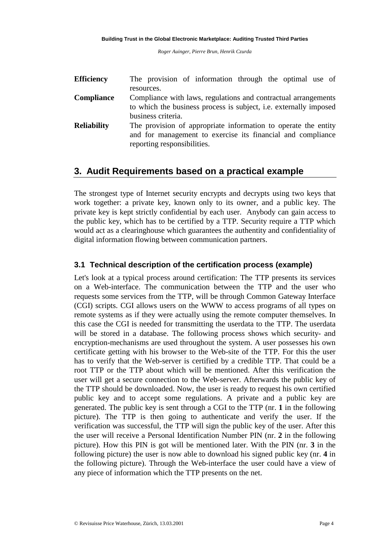| <b>Efficiency</b>  | The provision of information through the optimal use of                  |
|--------------------|--------------------------------------------------------------------------|
|                    | resources.                                                               |
| <b>Compliance</b>  | Compliance with laws, regulations and contractual arrangements           |
|                    | to which the business process is subject, <i>i.e.</i> externally imposed |
|                    | business criteria.                                                       |
| <b>Reliability</b> | The provision of appropriate information to operate the entity           |
|                    | and for management to exercise its financial and compliance              |
|                    | reporting responsibilities.                                              |

# **3. Audit Requirements based on a practical example**

The strongest type of Internet security encrypts and decrypts using two keys that work together: a private key, known only to its owner, and a public key. The private key is kept strictly confidential by each user. Anybody can gain access to the public key, which has to be certified by a TTP. Security require a TTP which would act as a clearinghouse which guarantees the authentity and confidentiality of digital information flowing between communication partners.

## **3.1 Technical description of the certification process (example)**

Let's look at a typical process around certification: The TTP presents its services on a Web-interface. The communication between the TTP and the user who requests some services from the TTP, will be through Common Gateway Interface (CGI) scripts. CGI allows users on the WWW to access programs of all types on remote systems as if they were actually using the remote computer themselves. In this case the CGI is needed for transmitting the userdata to the TTP. The userdata will be stored in a database. The following process shows which security- and encryption-mechanisms are used throughout the system. A user possesses his own certificate getting with his browser to the Web-site of the TTP. For this the user has to verify that the Web-server is certified by a credible TTP. That could be a root TTP or the TTP about which will be mentioned. After this verification the user will get a secure connection to the Web-server. Afterwards the public key of the TTP should be downloaded. Now, the user is ready to request his own certified public key and to accept some regulations. A private and a public key are generated. The public key is sent through a CGI to the TTP (nr. **1** in the following picture). The TTP is then going to authenticate and verify the user. If the verification was successful, the TTP will sign the public key of the user. After this the user will receive a Personal Identification Number PIN (nr. **2** in the following picture). How this PIN is got will be mentioned later. With the PIN (nr. **3** in the following picture) the user is now able to download his signed public key (nr. **4** in the following picture). Through the Web-interface the user could have a view of any piece of information which the TTP presents on the net.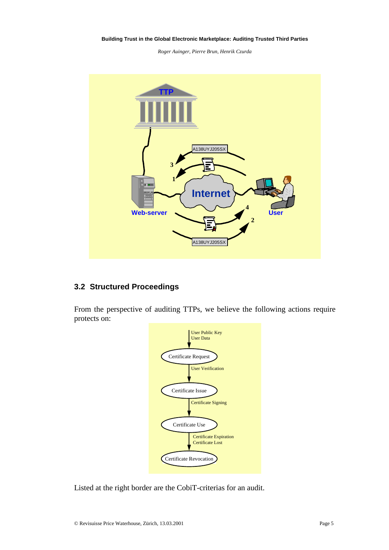#### **Building Trust in the Global Electronic Marketplace: Auditing Trusted Third Parties**

*Roger Auinger, Pierre Brun, Henrik Czurda* 



## **3.2 Structured Proceedings**

From the perspective of auditing TTPs, we believe the following actions require protects on:



Listed at the right border are the CobiT-criterias for an audit.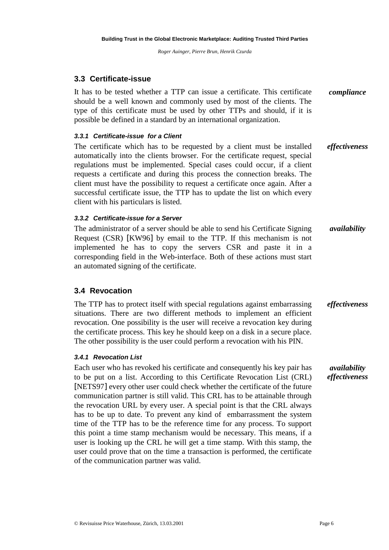# **3.3 Certificate-issue**

It has to be tested whether a TTP can issue a certificate. This certificate should be a well known and commonly used by most of the clients. The type of this certificate must be used by other TTPs and should, if it is possible be defined in a standard by an international organization. *compliance*

### *3.3.1 Certificate-issue for a Client*

The certificate which has to be requested by a client must be installed automatically into the clients browser. For the certificate request, special regulations must be implemented. Special cases could occur, if a client requests a certificate and during this process the connection breaks. The client must have the possibility to request a certificate once again. After a successful certificate issue, the TTP has to update the list on which every client with his particulars is listed. *effectiveness*

### *3.3.2 Certificate-issue for a Server*

The administrator of a server should be able to send his Certificate Signing Request (CSR) [KW96] by email to the TTP. If this mechanism is not implemented he has to copy the servers CSR and paste it in a corresponding field in the Web-interface. Both of these actions must start an automated signing of the certificate. *availability*

## **3.4 Revocation**

The TTP has to protect itself with special regulations against embarrassing situations. There are two different methods to implement an efficient revocation. One possibility is the user will receive a revocation key during the certificate process. This key he should keep on a disk in a secure place. The other possibility is the user could perform a revocation with his PIN. *effectiveness*

### *3.4.1 Revocation List*

Each user who has revoked his certificate and consequently his key pair has to be put on a list. According to this Certificate Revocation List (CRL) [NETS97] every other user could check whether the certificate of the future communication partner is still valid. This CRL has to be attainable through the revocation URL by every user. A special point is that the CRL always has to be up to date. To prevent any kind of embarrassment the system time of the TTP has to be the reference time for any process. To support this point a time stamp mechanism would be necessary. This means, if a user is looking up the CRL he will get a time stamp. With this stamp, the user could prove that on the time a transaction is performed, the certificate of the communication partner was valid. *availability effectiveness*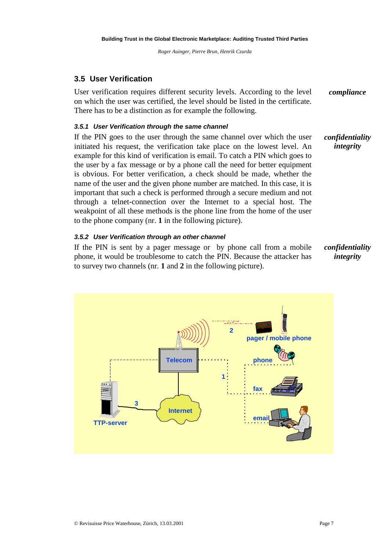# **3.5 User Verification**

User verification requires different security levels. According to the level on which the user was certified, the level should be listed in the certificate. There has to be a distinction as for example the following. *compliance*

### *3.5.1 User Verification through the same channel*

If the PIN goes to the user through the same channel over which the user initiated his request, the verification take place on the lowest level. An example for this kind of verification is email. To catch a PIN which goes to the user by a fax message or by a phone call the need for better equipment is obvious. For better verification, a check should be made, whether the name of the user and the given phone number are matched. In this case, it is important that such a check is performed through a secure medium and not through a telnet-connection over the Internet to a special host. The weakpoint of all these methods is the phone line from the home of the user to the phone company (nr. **1** in the following picture). *confidentiality integrity*

### *3.5.2 User Verification through an other channel*

If the PIN is sent by a pager message or by phone call from a mobile phone, it would be troublesome to catch the PIN. Because the attacker has to survey two channels (nr. **1** and **2** in the following picture).

*confidentiality integrity*

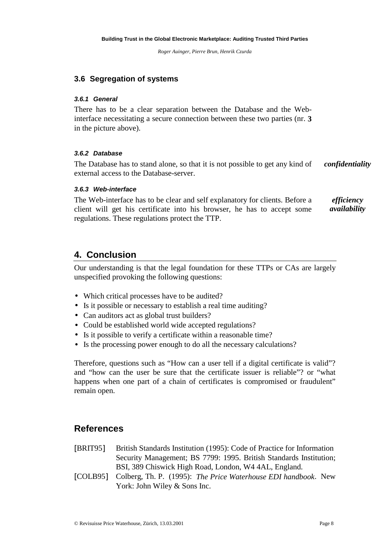## **3.6 Segregation of systems**

#### *3.6.1 General*

There has to be a clear separation between the Database and the Webinterface necessitating a secure connection between these two parties (nr. **3** in the picture above).

### *3.6.2 Database*

The Database has to stand alone, so that it is not possible to get any kind of external access to the Database-server. *confidentiality*

### *3.6.3 Web-interface*

The Web-interface has to be clear and self explanatory for clients. Before a client will get his certificate into his browser, he has to accept some regulations. These regulations protect the TTP. *efficiency availability*

# **4. Conclusion**

Our understanding is that the legal foundation for these TTPs or CAs are largely unspecified provoking the following questions:

- Which critical processes have to be audited?
- Is it possible or necessary to establish a real time auditing?
- Can auditors act as global trust builders?
- Could be established world wide accepted regulations?
- Is it possible to verify a certificate within a reasonable time?
- Is the processing power enough to do all the necessary calculations?

Therefore, questions such as "How can a user tell if a digital certificate is valid"? and "how can the user be sure that the certificate issuer is reliable"? or "what happens when one part of a chain of certificates is compromised or fraudulent" remain open.

# **References**

- [BRIT95] British Standards Institution (1995): Code of Practice for Information Security Management; BS 7799: 1995. British Standards Institution; BSI, 389 Chiswick High Road, London, W4 4AL, England.
- [COLB95] Colberg, Th. P. (1995): *The Price Waterhouse EDI handbook*. New York: John Wiley & Sons Inc.